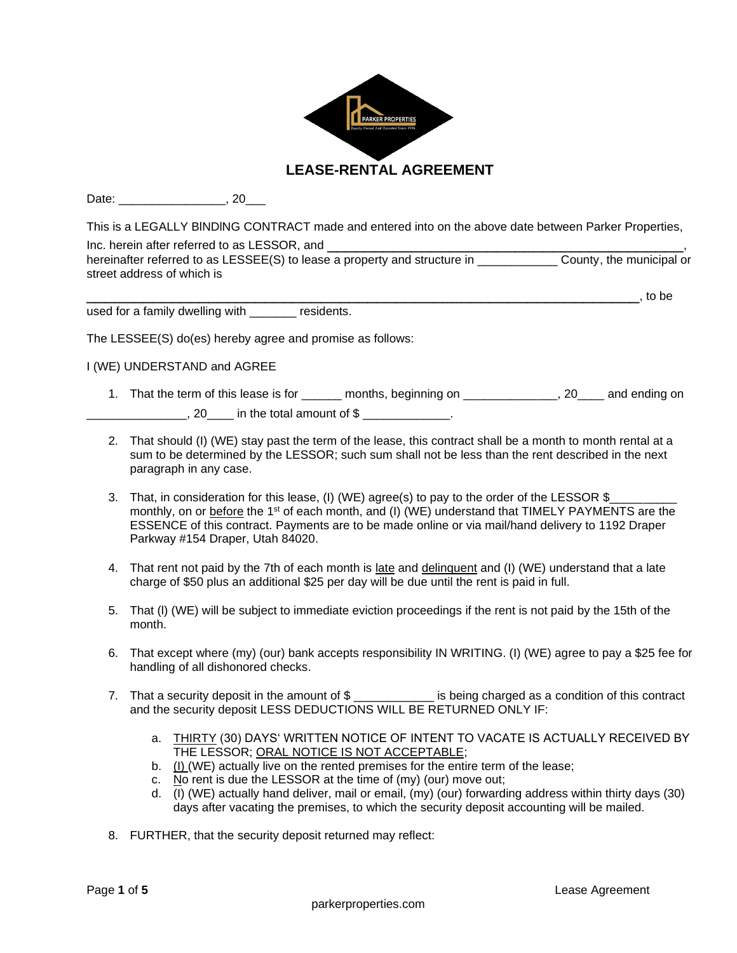

Date: 1, 20

This is a LEGALLY BlNDlNG CONTRACT made and entered into on the above date between Parker Properties, Inc. herein after referred to as LESSOR, and hereinafter referred to as LESSEE(S) to lease a property and structure in **Example 20** County, the municipal or street address of which is

used for a family dwelling with \_\_\_\_\_\_\_\_ residents.

The LESSEE(S) do(es) hereby agree and promise as follows:

I (WE) UNDERSTAND and AGREE

- 1. That the term of this lease is for example months, beginning on the same section on and ending on  $\frac{1}{20}$ , 20  $\frac{1}{20}$  in the total amount of \$
- 2. That should (I) (WE) stay past the term of the lease, this contract shall be a month to month rental at a sum to be determined by the LESSOR; such sum shall not be less than the rent described in the next paragraph in any case.
- 3. That, in consideration for this lease, (I) (WE) agree(s) to pay to the order of the LESSOR \$ monthly, on or before the 1<sup>st</sup> of each month, and (I) (WE) understand that TIMELY PAYMENTS are the ESSENCE of this contract. Payments are to be made online or via mail/hand delivery to 1192 Draper Parkway #154 Draper, Utah 84020.
- 4. That rent not paid by the 7th of each month is late and delinquent and (I) (WE) understand that a late charge of \$50 plus an additional \$25 per day will be due until the rent is paid in full.
- 5. That (l) (WE) will be subject to immediate eviction proceedings if the rent is not paid by the 15th of the month.
- 6. That except where (my) (our) bank accepts responsibility IN WRITING. (I) (WE) agree to pay a \$25 fee for handling of all dishonored checks.
- 7. That a security deposit in the amount of \$ equals being charged as a condition of this contract and the security deposit LESS DEDUCTIONS WILL BE RETURNED ONLY IF:
	- a. THIRTY (30) DAYS' WRITTEN NOTICE OF INTENT TO VACATE IS ACTUALLY RECEIVED BY THE LESSOR; ORAL NOTICE IS NOT ACCEPTABLE;
	- b. (I) (WE) actually live on the rented premises for the entire term of the lease;
	- c. No rent is due the LESSOR at the time of (my) (our) move out;
	- d. (I) (WE) actually hand deliver, mail or email, (my) (our) forwarding address within thirty days (30) days after vacating the premises, to which the security deposit accounting will be mailed.
- 8. FURTHER, that the security deposit returned may reflect:

\_\_\_\_\_\_\_\_\_\_\_\_\_\_\_\_\_\_\_\_\_\_\_\_\_\_\_\_\_\_\_\_\_\_\_\_\_\_\_\_\_\_\_\_\_\_\_\_\_\_\_\_\_\_\_\_\_\_\_, to be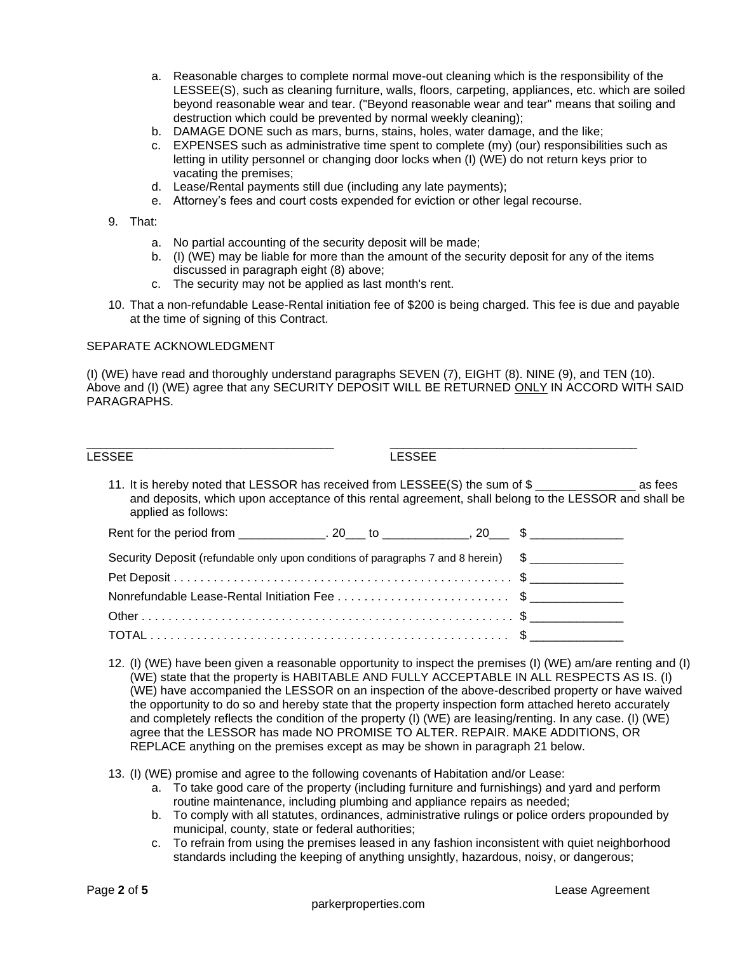- a. Reasonable charges to complete normal move-out cleaning which is the responsibility of the LESSEE(S), such as cleaning furniture, walls, floors, carpeting, appliances, etc. which are soiled beyond reasonable wear and tear. ("Beyond reasonable wear and tear" means that soiling and destruction which could be prevented by normal weekly cleaning);
- b. DAMAGE DONE such as mars, burns, stains, holes, water damage, and the like;
- c. EXPENSES such as administrative time spent to complete (my) (our) responsibilities such as letting in utility personnel or changing door locks when (I) (WE) do not return keys prior to vacating the premises;
- d. Lease/Rental payments still due (including any late payments);
- e. Attorney's fees and court costs expended for eviction or other legal recourse.

## 9. That:

- a. No partial accounting of the security deposit will be made;
- b. (I) (WE) may be liable for more than the amount of the security deposit for any of the items discussed in paragraph eight (8) above;
- c. The security may not be applied as last month's rent.
- 10. That a non-refundable Lease-Rental initiation fee of \$200 is being charged. This fee is due and payable at the time of signing of this Contract.

## SEPARATE ACKNOWLEDGMENT

(I) (WE) have read and thoroughly understand paragraphs SEVEN (7), EIGHT (8). NINE (9), and TEN (10). Above and (I) (WE) agree that any SECURITY DEPOSIT WILL BE RETURNED ONLY IN ACCORD WITH SAID PARAGRAPHS.

| LESSEE                                                                             | <b>LESSEE</b>                                                                                                                                                                         |
|------------------------------------------------------------------------------------|---------------------------------------------------------------------------------------------------------------------------------------------------------------------------------------|
| applied as follows:                                                                | 11. It is hereby noted that LESSOR has received from LESSEE(S) the sum of \$<br>and deposits, which upon acceptance of this rental agreement, shall belong to the LESSOR and shall be |
|                                                                                    |                                                                                                                                                                                       |
| Security Deposit (refundable only upon conditions of paragraphs 7 and 8 herein) \$ |                                                                                                                                                                                       |
|                                                                                    |                                                                                                                                                                                       |
|                                                                                    |                                                                                                                                                                                       |
|                                                                                    |                                                                                                                                                                                       |
|                                                                                    |                                                                                                                                                                                       |
|                                                                                    |                                                                                                                                                                                       |

12. (I) (WE) have been given a reasonable opportunity to inspect the premises (I) (WE) am/are renting and (I) (WE) state that the property is HABITABLE AND FULLY ACCEPTABLE IN ALL RESPECTS AS IS. (I) (WE) have accompanied the LESSOR on an inspection of the above-described property or have waived the opportunity to do so and hereby state that the property inspection form attached hereto accurately and completely reflects the condition of the property (I) (WE) are leasing/renting. In any case. (I) (WE) agree that the LESSOR has made NO PROMISE TO ALTER. REPAIR. MAKE ADDITIONS, OR REPLACE anything on the premises except as may be shown in paragraph 21 below.

13. (I) (WE) promise and agree to the following covenants of Habitation and/or Lease:

- a. To take good care of the property (including furniture and furnishings) and yard and perform routine maintenance, including plumbing and appliance repairs as needed;
- b. To comply with all statutes, ordinances, administrative rulings or police orders propounded by municipal, county, state or federal authorities;
- c. To refrain from using the premises leased in any fashion inconsistent with quiet neighborhood standards including the keeping of anything unsightly, hazardous, noisy, or dangerous;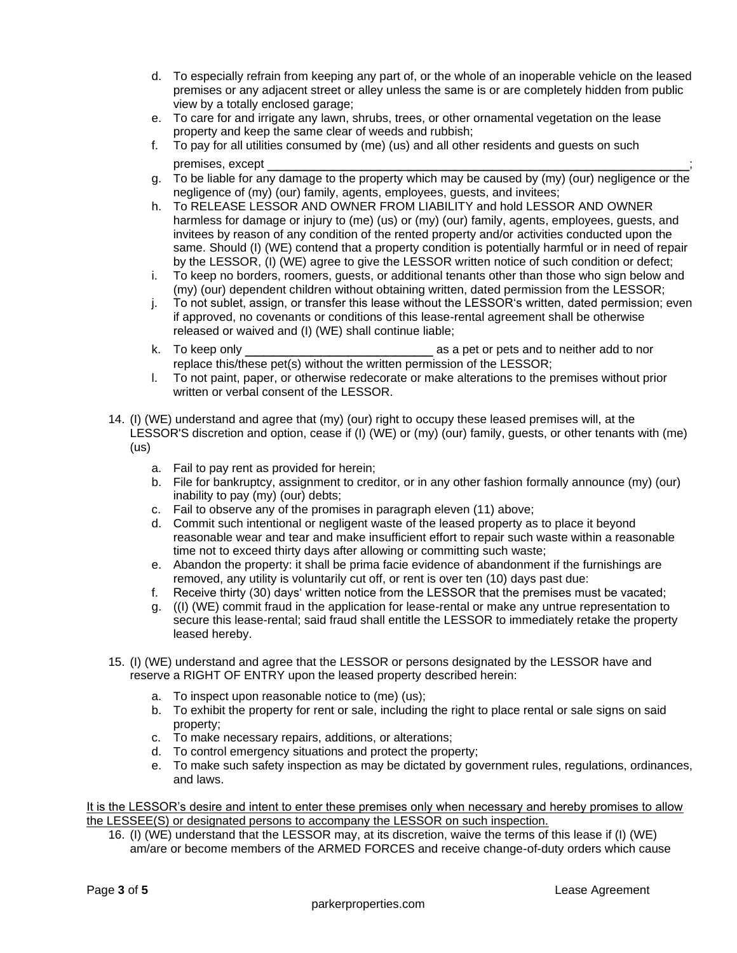- d. To especially refrain from keeping any part of, or the whole of an inoperable vehicle on the leased premises or any adjacent street or alley unless the same is or are completely hidden from public view by a totally enclosed garage;
- e. To care for and irrigate any lawn, shrubs, trees, or other ornamental vegetation on the lease property and keep the same clear of weeds and rubbish;
- f. To pay for all utilities consumed by (me) (us) and all other residents and guests on such premises, except \_\_\_\_\_\_\_\_\_\_\_\_\_\_\_\_\_\_\_\_\_\_\_\_\_\_\_\_\_\_\_\_\_\_\_\_\_\_\_\_\_\_\_\_\_;
- g. To be liable for any damage to the property which may be caused by (my) (our) negligence or the negligence of (my) (our) family, agents, employees, guests, and invitees;
- h. To RELEASE LESSOR AND OWNER FROM LIABILITY and hold LESSOR AND OWNER harmless for damage or injury to (me) (us) or (my) (our) family, agents, employees, guests, and invitees by reason of any condition of the rented property and/or activities conducted upon the same. Should (I) (WE) contend that a property condition is potentially harmful or in need of repair by the LESSOR, (I) (WE) agree to give the LESSOR written notice of such condition or defect;
- i. To keep no borders, roomers, guests, or additional tenants other than those who sign below and (my) (our) dependent children without obtaining written, dated permission from the LESSOR;
- j. To not sublet, assign, or transfer this lease without the LESSOR's written, dated permission; even if approved, no covenants or conditions of this lease-rental agreement shall be otherwise released or waived and (I) (WE) shall continue liable;
- k. To keep only \_\_\_\_\_\_\_\_\_\_\_\_\_\_\_\_\_\_\_\_ as a pet or pets and to neither add to nor replace this/these pet(s) without the written permission of the LESSOR;
- l. To not paint, paper, or otherwise redecorate or make alterations to the premises without prior written or verbal consent of the LESSOR.
- 14. (I) (WE) understand and agree that (my) (our) right to occupy these leased premises will, at the LESSOR'S discretion and option, cease if (I) (WE) or (my) (our) family, guests, or other tenants with (me) (us)
	- a. Fail to pay rent as provided for herein;
	- b. File for bankruptcy, assignment to creditor, or in any other fashion formally announce (my) (our) inability to pay (my) (our) debts;
	- c. Fail to observe any of the promises in paragraph eleven (11) above;
	- d. Commit such intentional or negligent waste of the leased property as to place it beyond reasonable wear and tear and make insufficient effort to repair such waste within a reasonable time not to exceed thirty days after allowing or committing such waste;
	- e. Abandon the property: it shall be prima facie evidence of abandonment if the furnishings are removed, any utility is voluntarily cut off, or rent is over ten (10) days past due:
	- f. Receive thirty (30) days' written notice from the LESSOR that the premises must be vacated;
	- g. ((I) (WE) commit fraud in the application for lease-rental or make any untrue representation to secure this lease-rental; said fraud shall entitle the LESSOR to immediately retake the property leased hereby.
- 15. (I) (WE) understand and agree that the LESSOR or persons designated by the LESSOR have and reserve a RIGHT OF ENTRY upon the leased property described herein:
	- a. To inspect upon reasonable notice to (me) (us);
	- b. To exhibit the property for rent or sale, including the right to place rental or sale signs on said property;
	- c. To make necessary repairs, additions, or alterations;
	- d. To control emergency situations and protect the property;
	- e. To make such safety inspection as may be dictated by government rules, regulations, ordinances, and laws.

It is the LESSOR's desire and intent to enter these premises only when necessary and hereby promises to allow the LESSEE(S) or designated persons to accompany the LESSOR on such inspection.

16. (I) (WE) understand that the LESSOR may, at its discretion, waive the terms of this lease if (I) (WE) am/are or become members of the ARMED FORCES and receive change-of-duty orders which cause